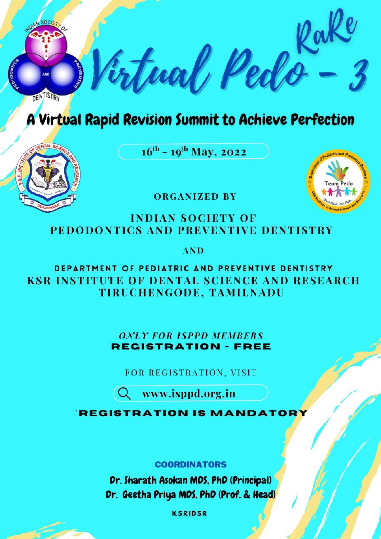

## A Virtual Rapid Revision Summit to Achieve Perfection

 $16^{th}$  -  $19^{th}$  May, 2022





**ORGANIZED BY** 

#### **INDIAN SOCIETY OF** PEDODONTICS AND PREVENTIVE DENTISTRY

**AND** 

DEPARTMENT OF PEDIATRIC AND PREVENTIVE DENTISTRY **KSR INSTITUTE OF DENTAL SCIENCE AND RESEARCH** TIRUCHENGODE, TAMILNADU

> **ONLY FOR ISPPD MEMBERS REGISTRATION - FREE**

FOR REGISTRATION, VISIT

Q www.isppd.org.in

**REGISTRATION IS MANDAT** 

#### **COORDINATORS**

Dr. Sharath Asokan MDS, PhD (Principal) Dr. Geetha Priya MDS, PhD (Prof. & Head)

**KSRIDSR**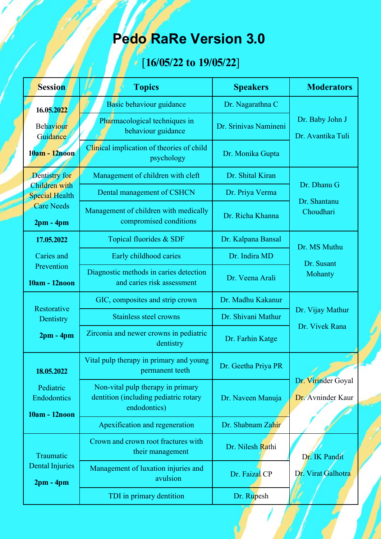# **Pedo RaRe Version 3.0**

# [**16/05/22 to 19/05/22**]

| <b>Session</b>                                                             | <b>Topics</b>                                                                              | <b>Speakers</b>       | <b>Moderators</b>                        |
|----------------------------------------------------------------------------|--------------------------------------------------------------------------------------------|-----------------------|------------------------------------------|
| 16.05.2022                                                                 | Basic behaviour guidance                                                                   | Dr. Nagarathna C      |                                          |
| Behaviour<br>Guidance<br>10am - 12noon                                     | Pharmacological techniques in<br>behaviour guidance                                        | Dr. Srinivas Namineni | Dr. Baby John J<br>Dr. Avantika Tuli     |
|                                                                            | Clinical implication of theories of child<br>psychology                                    | Dr. Monika Gupta      |                                          |
| Dentistry for                                                              | Management of children with cleft                                                          | Dr. Shital Kiran      |                                          |
| Children with<br><b>Special Health</b><br><b>Care Needs</b><br>$2pm - 4pm$ | Dental management of CSHCN                                                                 | Dr. Priya Verma       | Dr. Dhanu G<br>Dr. Shantanu<br>Choudhari |
|                                                                            | Management of children with medically<br>compromised conditions                            | Dr. Richa Khanna      |                                          |
| 17.05.2022<br>Caries and<br>Prevention<br>10am - 12noon                    | Topical fluorides & SDF                                                                    | Dr. Kalpana Bansal    | Dr. MS Muthu<br>Dr. Susant<br>Mohanty    |
|                                                                            | Early childhood caries                                                                     | Dr. Indira MD         |                                          |
|                                                                            | Diagnostic methods in caries detection<br>and caries risk assessment                       | Dr. Veena Arali       |                                          |
| Restorative<br>Dentistry<br>$2pm - 4pm$                                    | GIC, composites and strip crown                                                            | Dr. Madhu Kakanur     | Dr. Vijay Mathur<br>Dr. Vivek Rana       |
|                                                                            | Stainless steel crowns                                                                     | Dr. Shivani Mathur    |                                          |
|                                                                            | Zirconia and newer crowns in pediatric<br>dentistry                                        | Dr. Farhin Katge      |                                          |
| 18.05.2022                                                                 | Vital pulp therapy in primary and young<br>permanent teeth                                 | Dr. Geetha Priya PR   |                                          |
| Pediatric<br>Endodontics<br>10am - 12noon                                  | Non-vital pulp therapy in primary<br>dentition (including pediatric rotary<br>endodontics) | Dr. Naveen Manuja     | Dr. Virinder Goyal<br>Dr. Avninder Kaur  |
|                                                                            | Apexification and regeneration                                                             | Dr. Shabnam Zahir     |                                          |
| Traumatic<br><b>Dental Injuries</b><br>$2pm - 4pm$                         | Crown and crown root fractures with<br>their management                                    | Dr. Nilesh Rathi      | Dr. IK Pandit                            |
|                                                                            | Management of luxation injuries and<br>avulsion                                            | Dr. Faizal CP         | Dr. Virat Galhotra                       |
|                                                                            | TDI in primary dentition                                                                   | Dr. Rupesh            |                                          |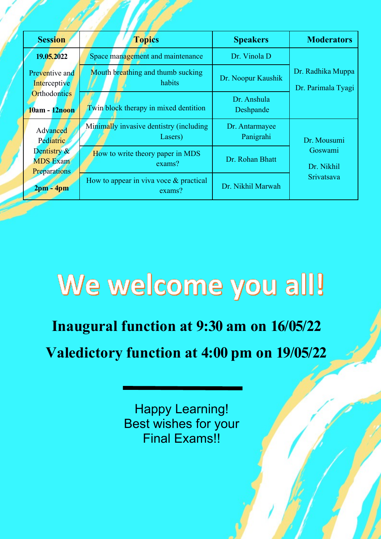| <b>Session</b>                                        | <b>Topics</b>                                       | <b>Speakers</b>             | <b>Moderators</b>                       |
|-------------------------------------------------------|-----------------------------------------------------|-----------------------------|-----------------------------------------|
| 19.05.2022                                            | Space management and maintenance                    | Dr. Vinola D                |                                         |
| Preventive and<br>Interceptive                        | Mouth breathing and thumb sucking<br>habits         | Dr. Noopur Kaushik          | Dr. Radhika Muppa<br>Dr. Parimala Tyagi |
| <b>Orthodontics</b><br>10am - 12noon                  | Twin block therapy in mixed dentition               | Dr. Anshula<br>Deshpande    |                                         |
| Advanced<br>Pediatric                                 | Minimally invasive dentistry (including<br>Lasers)  | Dr. Antarmayee<br>Panigrahi | Dr. Mousumi                             |
| Dentistry &<br><b>MDS</b> Exam<br><b>Preparations</b> | How to write theory paper in MDS<br>exams?          | Dr. Rohan Bhatt             | Goswami<br>Dr. Nikhil                   |
| $2pm - 4pm$                                           | How to appear in viva voce $\&$ practical<br>exams? | Dr. Nikhil Marwah           | Srivatsava                              |

# We welcome you all!

**Inaugural function at 9:30 am on 16/05/22**

**Valedictory function at 4:00 pm on 19/05/22**

Happy Learning! Best wishes for your Final Exams!!